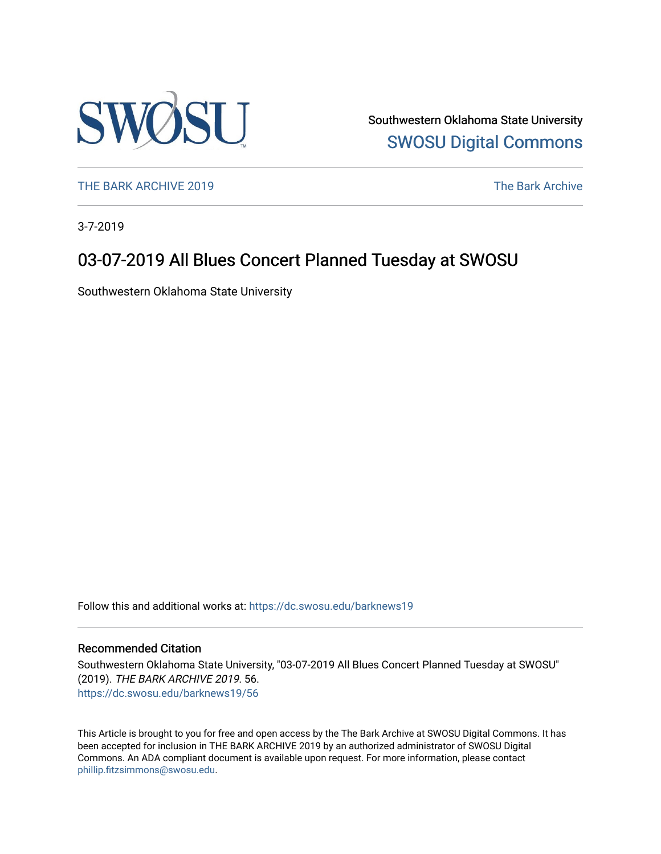

Southwestern Oklahoma State University [SWOSU Digital Commons](https://dc.swosu.edu/) 

[THE BARK ARCHIVE 2019](https://dc.swosu.edu/barknews19) The Bark Archive

3-7-2019

### 03-07-2019 All Blues Concert Planned Tuesday at SWOSU

Southwestern Oklahoma State University

Follow this and additional works at: [https://dc.swosu.edu/barknews19](https://dc.swosu.edu/barknews19?utm_source=dc.swosu.edu%2Fbarknews19%2F56&utm_medium=PDF&utm_campaign=PDFCoverPages)

#### Recommended Citation

Southwestern Oklahoma State University, "03-07-2019 All Blues Concert Planned Tuesday at SWOSU" (2019). THE BARK ARCHIVE 2019. 56. [https://dc.swosu.edu/barknews19/56](https://dc.swosu.edu/barknews19/56?utm_source=dc.swosu.edu%2Fbarknews19%2F56&utm_medium=PDF&utm_campaign=PDFCoverPages) 

This Article is brought to you for free and open access by the The Bark Archive at SWOSU Digital Commons. It has been accepted for inclusion in THE BARK ARCHIVE 2019 by an authorized administrator of SWOSU Digital Commons. An ADA compliant document is available upon request. For more information, please contact [phillip.fitzsimmons@swosu.edu](mailto:phillip.fitzsimmons@swosu.edu).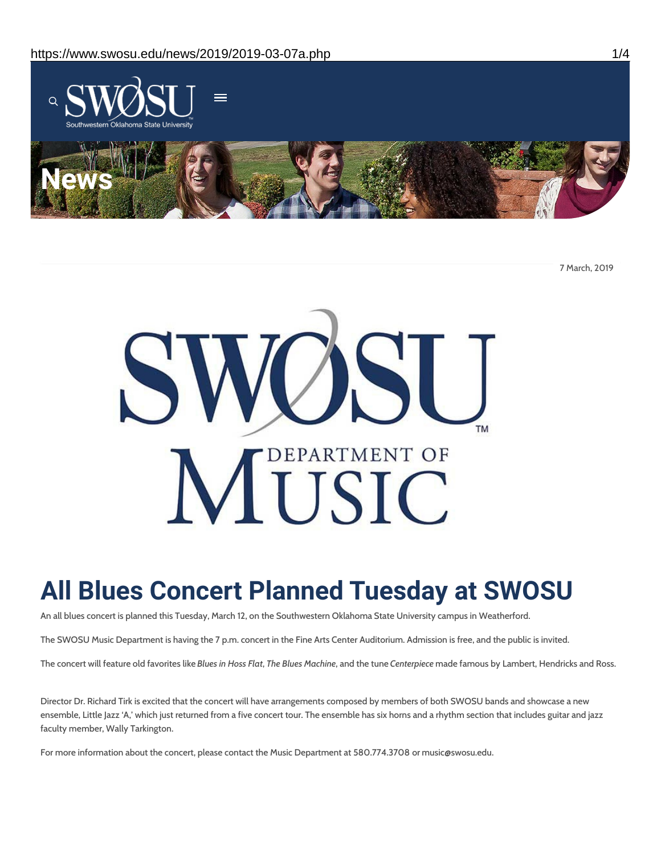

7 March, 2019



# **All Blues Concert Planned Tuesday at SWOSU**

An all blues concert is planned this Tuesday, March 12, on the Southwestern Oklahoma State University campus in Weatherford.

The SWOSU Music Department is having the 7 p.m. concert in the Fine Arts Center Auditorium. Admission is free, and the public is invited.

The concert will feature old favorites like *Blues in Hoss Flat*, *The Blues Machine*, and the tune *Centerpiece* made famous by Lambert, Hendricks and Ross.

Director Dr. Richard Tirk is excited that the concert will have arrangements composed by members of both SWOSU bands and showcase a new ensemble, Little Jazz 'A,' which just returned from a five concert tour. The ensemble has six horns and a rhythm section that includes guitar and jazz faculty member, Wally Tarkington.

For more information about the concert, please contact the Music Department at 580.774.3708 or music@swosu.edu.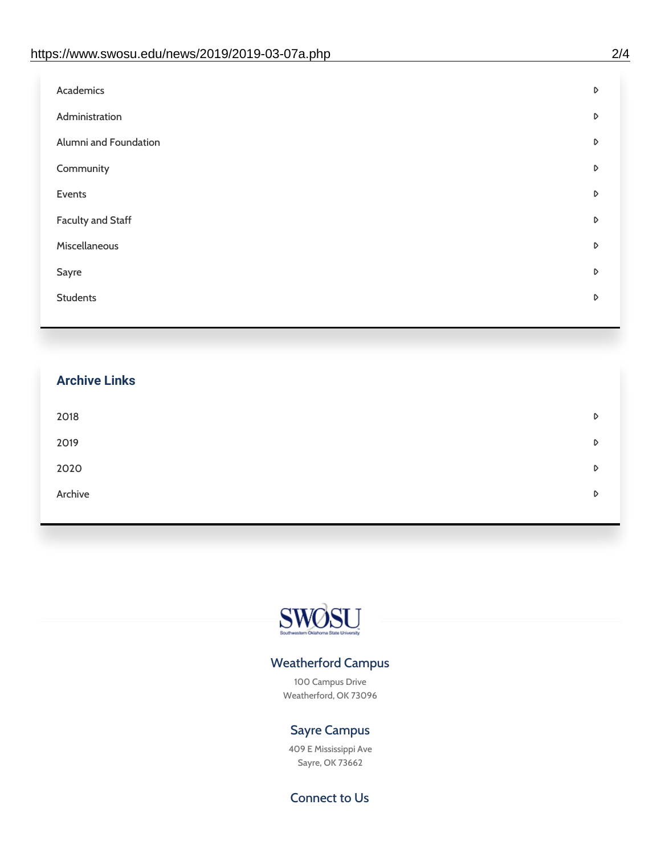| Administration<br>D<br>Alumni and Foundation<br>D<br>Community<br>D<br>Events<br>D | Academics | D |
|------------------------------------------------------------------------------------|-----------|---|
|                                                                                    |           |   |
|                                                                                    |           |   |
|                                                                                    |           |   |
|                                                                                    |           |   |
| <b>Faculty and Staff</b><br>D                                                      |           |   |
| Miscellaneous<br>D                                                                 |           |   |
| Sayre<br>D                                                                         |           |   |
| <b>Students</b><br>D                                                               |           |   |

## **Archive Links**  $2018$  $2019$ [2020](https://www.swosu.edu/news/2020/index.php)  $\bullet$ [Archive](https://dc.swosu.edu/bark/) **Archive Archive Archive Archive Archive** Archive Archive Archive Archive Archive Archive Archive Archive



### Weatherford Campus

100 Campus Drive Weatherford, OK 73096

### Sayre Campus

409 E Mississippi Ave Sayre, OK 73662

Connect to Us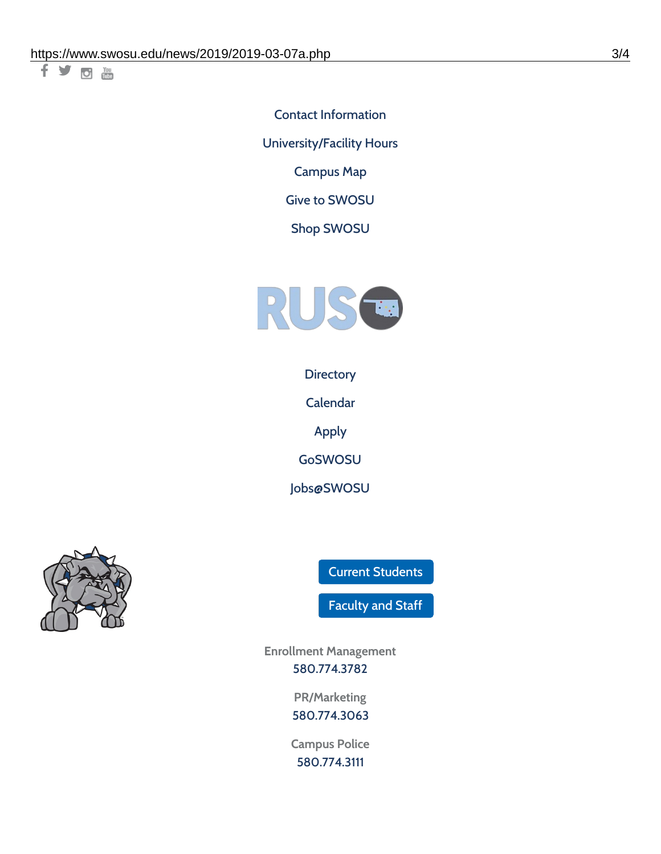千岁回调

Contact [Information](https://www.swosu.edu/about/contact.php) [University/Facility](https://www.swosu.edu/about/operating-hours.php) Hours [Campus](https://map.concept3d.com/?id=768#!ct/10964,10214,10213,10212,10205,10204,10203,10202,10136,10129,10128,0,31226,10130,10201,10641,0) Map

Give to [SWOSU](https://standingfirmly.com/donate)

Shop [SWOSU](https://shopswosu.merchorders.com/)



**[Directory](https://www.swosu.edu/directory/index.php)** 

[Calendar](https://eventpublisher.dudesolutions.com/swosu/)

[Apply](https://www.swosu.edu/admissions/apply-to-swosu.php)

[GoSWOSU](https://qlsso.quicklaunchsso.com/home/1267)

[Jobs@SWOSU](https://swosu.csod.com/ux/ats/careersite/1/home?c=swosu)



Current [Students](https://bulldog.swosu.edu/index.php)

[Faculty](https://bulldog.swosu.edu/faculty-staff/index.php) and Staff

**Enrollment Management** [580.774.3782](tel:5807743782)

> **PR/Marketing** [580.774.3063](tel:5807743063)

**Campus Police** [580.774.3111](tel:5807743111)